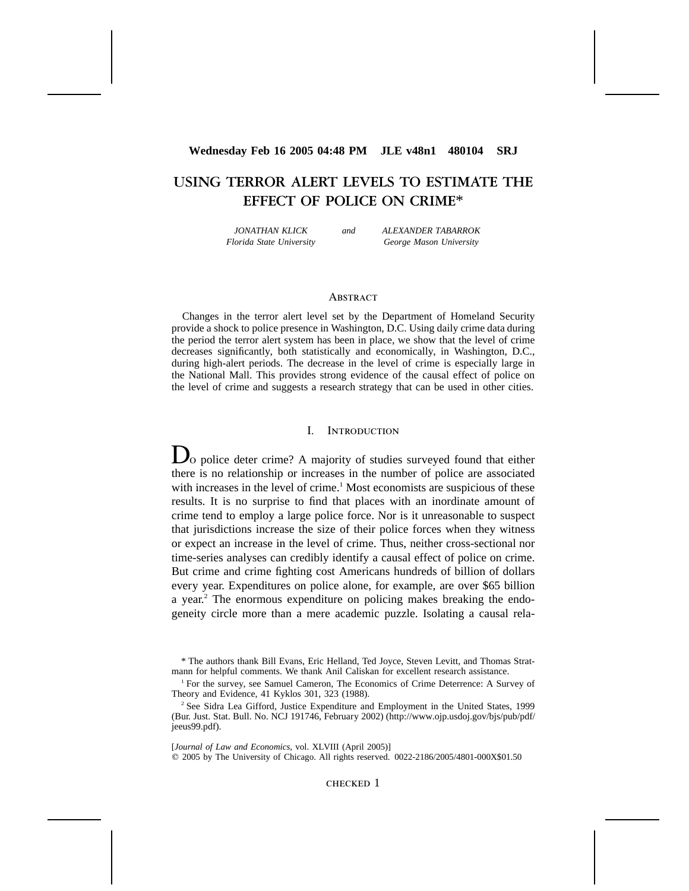# **Wednesday Feb 16 2005 04:48 PM JLE v48n1 480104 SRJ**

# **USING TERROR ALERT LEVELS TO ESTIMATE THE EFFECT OF POLICE ON CRIME**\*

*JONATHAN KLICK Florida State University* *and ALEXANDER TABARROK George Mason University*

## **ABSTRACT**

Changes in the terror alert level set by the Department of Homeland Security provide a shock to police presence in Washington, D.C. Using daily crime data during the period the terror alert system has been in place, we show that the level of crime decreases significantly, both statistically and economically, in Washington, D.C., during high-alert periods. The decrease in the level of crime is especially large in the National Mall. This provides strong evidence of the causal effect of police on the level of crime and suggests a research strategy that can be used in other cities.

## I. Introduction

 $\Box$ o police deter crime? A majority of studies surveyed found that either there is no relationship or increases in the number of police are associated with increases in the level of crime.<sup>1</sup> Most economists are suspicious of these results. It is no surprise to find that places with an inordinate amount of crime tend to employ a large police force. Nor is it unreasonable to suspect that jurisdictions increase the size of their police forces when they witness or expect an increase in the level of crime. Thus, neither cross-sectional nor time-series analyses can credibly identify a causal effect of police on crime. But crime and crime fighting cost Americans hundreds of billion of dollars every year. Expenditures on police alone, for example, are over \$65 billion a year.<sup>2</sup> The enormous expenditure on policing makes breaking the endogeneity circle more than a mere academic puzzle. Isolating a causal rela-

<sup>\*</sup> The authors thank Bill Evans, Eric Helland, Ted Joyce, Steven Levitt, and Thomas Stratmann for helpful comments. We thank Anil Caliskan for excellent research assistance.

<sup>1</sup> For the survey, see Samuel Cameron, The Economics of Crime Deterrence: A Survey of Theory and Evidence, 41 Kyklos 301, 323 (1988).

<sup>&</sup>lt;sup>2</sup> See Sidra Lea Gifford, Justice Expenditure and Employment in the United States, 1999 (Bur. Just. Stat. Bull. No. NCJ 191746, February 2002) (http://www.ojp.usdoj.gov/bjs/pub/pdf/ jeeus99.pdf).

<sup>[</sup>*Journal of Law and Economics*, vol. XLVIII (April 2005)] 2005 by The University of Chicago. All rights reserved. 0022-2186/2005/4801-000X\$01.50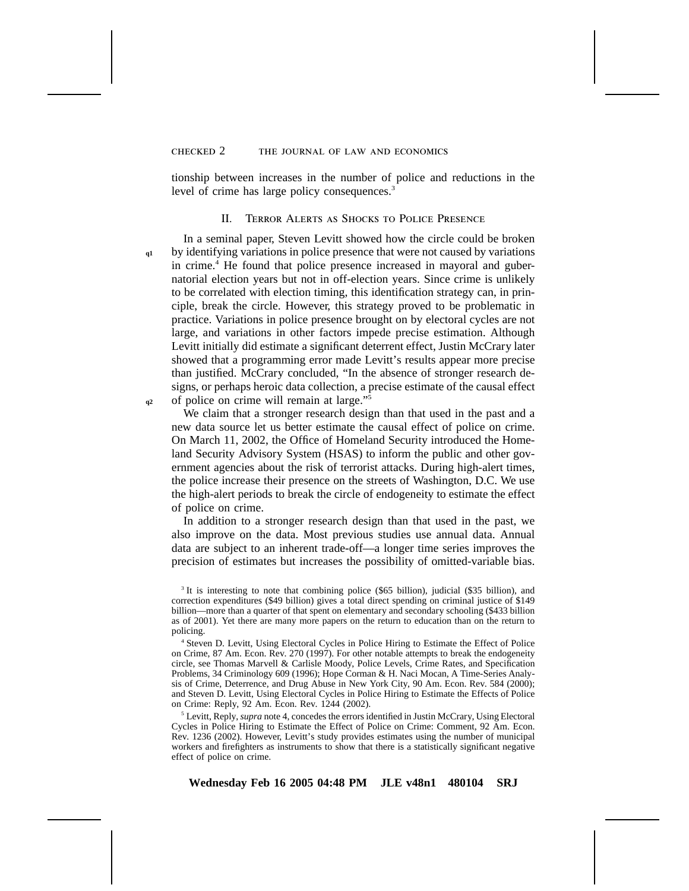## checked 2 the journal of law and economics

tionship between increases in the number of police and reductions in the level of crime has large policy consequences.<sup>3</sup>

#### II. Terror Alerts as Shocks to Police Presence

**q1**

**q2**

In a seminal paper, Steven Levitt showed how the circle could be broken by identifying variations in police presence that were not caused by variations in crime.<sup>4</sup> He found that police presence increased in mayoral and gubernatorial election years but not in off-election years. Since crime is unlikely to be correlated with election timing, this identification strategy can, in principle, break the circle. However, this strategy proved to be problematic in practice. Variations in police presence brought on by electoral cycles are not large, and variations in other factors impede precise estimation. Although Levitt initially did estimate a significant deterrent effect, Justin McCrary later showed that a programming error made Levitt's results appear more precise than justified. McCrary concluded, "In the absence of stronger research designs, or perhaps heroic data collection, a precise estimate of the causal effect of police on crime will remain at large."5

We claim that a stronger research design than that used in the past and a new data source let us better estimate the causal effect of police on crime. On March 11, 2002, the Office of Homeland Security introduced the Homeland Security Advisory System (HSAS) to inform the public and other government agencies about the risk of terrorist attacks. During high-alert times, the police increase their presence on the streets of Washington, D.C. We use the high-alert periods to break the circle of endogeneity to estimate the effect of police on crime.

In addition to a stronger research design than that used in the past, we also improve on the data. Most previous studies use annual data. Annual data are subject to an inherent trade-off—a longer time series improves the precision of estimates but increases the possibility of omitted-variable bias.

<sup>5</sup> Levitt, Reply, *supra* note 4, concedes the errors identified in Justin McCrary, Using Electoral Cycles in Police Hiring to Estimate the Effect of Police on Crime: Comment, 92 Am. Econ. Rev. 1236 (2002). However, Levitt's study provides estimates using the number of municipal workers and firefighters as instruments to show that there is a statistically significant negative effect of police on crime.

<sup>&</sup>lt;sup>3</sup> It is interesting to note that combining police (\$65 billion), judicial (\$35 billion), and correction expenditures (\$49 billion) gives a total direct spending on criminal justice of \$149 billion—more than a quarter of that spent on elementary and secondary schooling (\$433 billion as of 2001). Yet there are many more papers on the return to education than on the return to policing.

<sup>4</sup> Steven D. Levitt, Using Electoral Cycles in Police Hiring to Estimate the Effect of Police on Crime, 87 Am. Econ. Rev. 270 (1997). For other notable attempts to break the endogeneity circle, see Thomas Marvell & Carlisle Moody, Police Levels, Crime Rates, and Specification Problems, 34 Criminology 609 (1996); Hope Corman & H. Naci Mocan, A Time-Series Analysis of Crime, Deterrence, and Drug Abuse in New York City, 90 Am. Econ. Rev. 584 (2000); and Steven D. Levitt, Using Electoral Cycles in Police Hiring to Estimate the Effects of Police on Crime: Reply, 92 Am. Econ. Rev. 1244 (2002).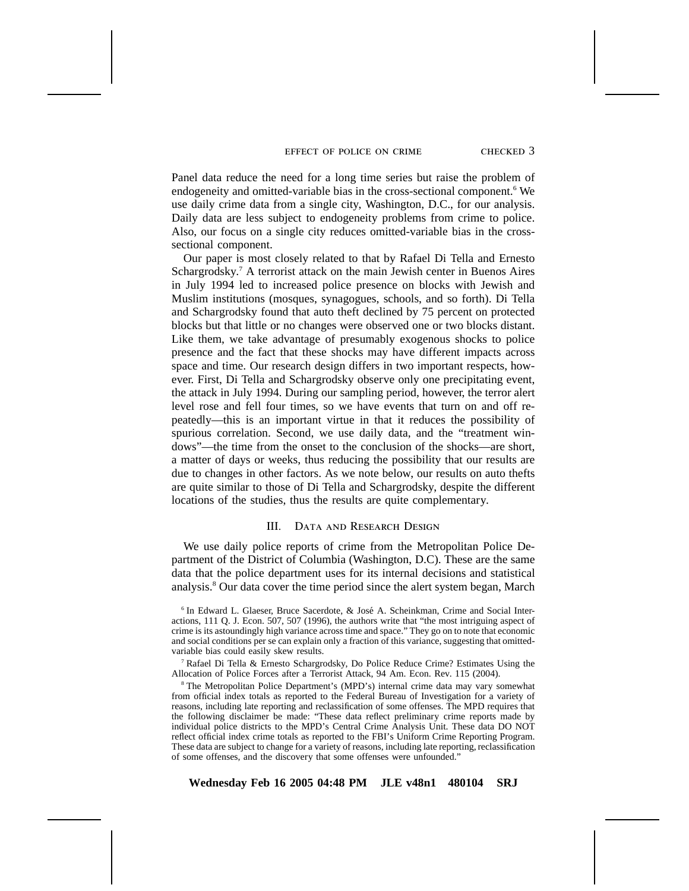#### effect of police on crime checked 3

Panel data reduce the need for a long time series but raise the problem of endogeneity and omitted-variable bias in the cross-sectional component.<sup>6</sup> We use daily crime data from a single city, Washington, D.C., for our analysis. Daily data are less subject to endogeneity problems from crime to police. Also, our focus on a single city reduces omitted-variable bias in the crosssectional component.

Our paper is most closely related to that by Rafael Di Tella and Ernesto Schargrodsky.<sup>7</sup> A terrorist attack on the main Jewish center in Buenos Aires in July 1994 led to increased police presence on blocks with Jewish and Muslim institutions (mosques, synagogues, schools, and so forth). Di Tella and Schargrodsky found that auto theft declined by 75 percent on protected blocks but that little or no changes were observed one or two blocks distant. Like them, we take advantage of presumably exogenous shocks to police presence and the fact that these shocks may have different impacts across space and time. Our research design differs in two important respects, however. First, Di Tella and Schargrodsky observe only one precipitating event, the attack in July 1994. During our sampling period, however, the terror alert level rose and fell four times, so we have events that turn on and off repeatedly—this is an important virtue in that it reduces the possibility of spurious correlation. Second, we use daily data, and the "treatment windows"—the time from the onset to the conclusion of the shocks—are short, a matter of days or weeks, thus reducing the possibility that our results are due to changes in other factors. As we note below, our results on auto thefts are quite similar to those of Di Tella and Schargrodsky, despite the different locations of the studies, thus the results are quite complementary.

# III. Data and Research Design

We use daily police reports of crime from the Metropolitan Police Department of the District of Columbia (Washington, D.C). These are the same data that the police department uses for its internal decisions and statistical analysis.8 Our data cover the time period since the alert system began, March

<sup>7</sup> Rafael Di Tella & Ernesto Schargrodsky, Do Police Reduce Crime? Estimates Using the Allocation of Police Forces after a Terrorist Attack, 94 Am. Econ. Rev. 115 (2004).

<sup>8</sup> The Metropolitan Police Department's (MPD's) internal crime data may vary somewhat from official index totals as reported to the Federal Bureau of Investigation for a variety of reasons, including late reporting and reclassification of some offenses. The MPD requires that the following disclaimer be made: "These data reflect preliminary crime reports made by individual police districts to the MPD's Central Crime Analysis Unit. These data DO NOT reflect official index crime totals as reported to the FBI's Uniform Crime Reporting Program. These data are subject to change for a variety of reasons, including late reporting, reclassification of some offenses, and the discovery that some offenses were unfounded."

<sup>&</sup>lt;sup>6</sup> In Edward L. Glaeser, Bruce Sacerdote, & José A. Scheinkman, Crime and Social Interactions, 111 Q. J. Econ. 507, 507 (1996), the authors write that "the most intriguing aspect of crime is its astoundingly high variance across time and space." They go on to note that economic and social conditions per se can explain only a fraction of this variance, suggesting that omittedvariable bias could easily skew results.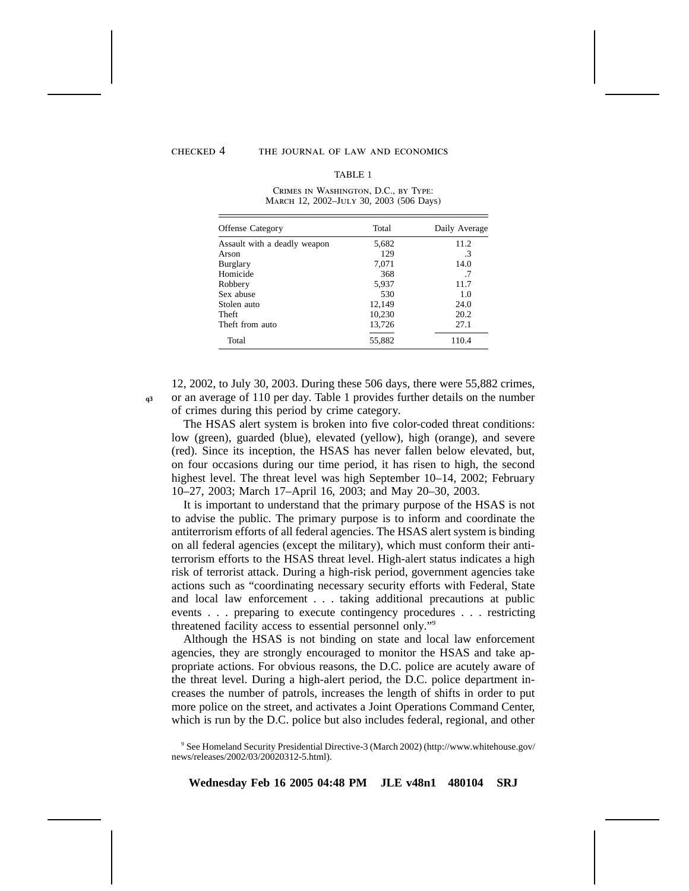**q3**

## checked 4 the journal of law and economics

#### TABLE 1

Crimes in Washington, D.C., by Type: March 12, 2002–July 30, 2003 (506 Days)

| Offense Category             | Total  | Daily Average |
|------------------------------|--------|---------------|
| Assault with a deadly weapon | 5,682  | 11.2          |
| Arson                        | 129    | $\cdot$ 3     |
| Burglary                     | 7,071  | 14.0          |
| Homicide                     | 368    | .7            |
| Robbery                      | 5,937  | 11.7          |
| Sex abuse                    | 530    | 1.0           |
| Stolen auto                  | 12,149 | 24.0          |
| <b>Theft</b>                 | 10,230 | 20.2          |
| Theft from auto              | 13,726 | 27.1          |
| Total                        | 55,882 | 110.4         |

12, 2002, to July 30, 2003. During these 506 days, there were 55,882 crimes, or an average of 110 per day. Table 1 provides further details on the number of crimes during this period by crime category.

The HSAS alert system is broken into five color-coded threat conditions: low (green), guarded (blue), elevated (yellow), high (orange), and severe (red). Since its inception, the HSAS has never fallen below elevated, but, on four occasions during our time period, it has risen to high, the second highest level. The threat level was high September 10–14, 2002; February 10–27, 2003; March 17–April 16, 2003; and May 20–30, 2003.

It is important to understand that the primary purpose of the HSAS is not to advise the public. The primary purpose is to inform and coordinate the antiterrorism efforts of all federal agencies. The HSAS alert system is binding on all federal agencies (except the military), which must conform their antiterrorism efforts to the HSAS threat level. High-alert status indicates a high risk of terrorist attack. During a high-risk period, government agencies take actions such as "coordinating necessary security efforts with Federal, State and local law enforcement... taking additional precautions at public events... preparing to execute contingency procedures... restricting threatened facility access to essential personnel only."9

Although the HSAS is not binding on state and local law enforcement agencies, they are strongly encouraged to monitor the HSAS and take appropriate actions. For obvious reasons, the D.C. police are acutely aware of the threat level. During a high-alert period, the D.C. police department increases the number of patrols, increases the length of shifts in order to put more police on the street, and activates a Joint Operations Command Center, which is run by the D.C. police but also includes federal, regional, and other

<sup>9</sup> See Homeland Security Presidential Directive-3 (March 2002) (http://www.whitehouse.gov/ news/releases/2002/03/20020312-5.html).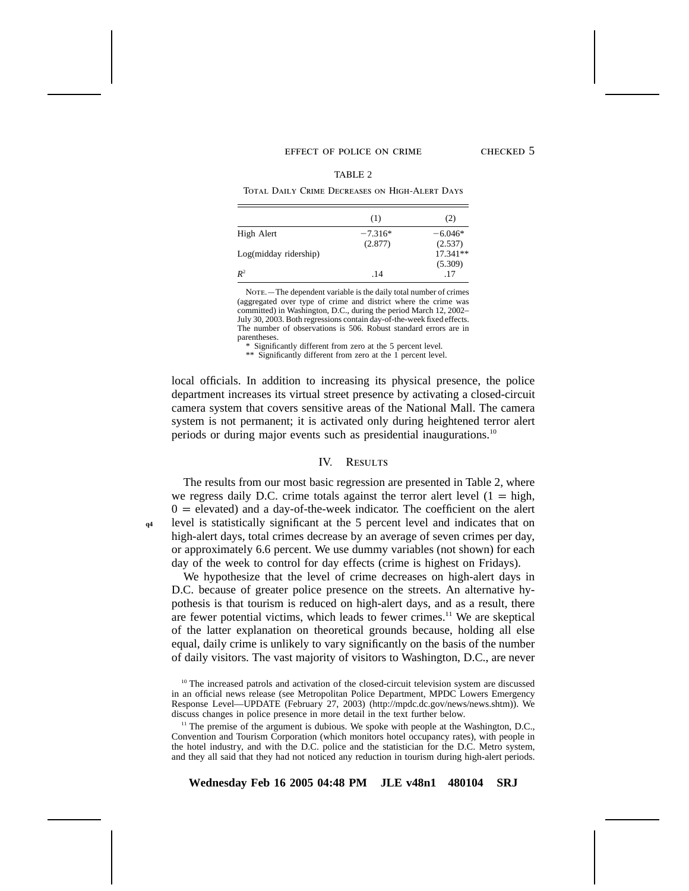#### EFFECT OF POLICE ON CRIME CHECKED 5

#### TABLE 2

Total Daily Crime Decreases on High-Alert Days

|                          | (1)       | (2)        |
|--------------------------|-----------|------------|
| High Alert               | $-7.316*$ | $-6.046*$  |
|                          | (2.877)   | (2.537)    |
| $Log(midday\ ridership)$ |           | $17.341**$ |
|                          |           | (5.309)    |
| $R^2$                    | .14       | .17        |

NOTE. - The dependent variable is the daily total number of crimes (aggregated over type of crime and district where the crime was committed) in Washington, D.C., during the period March 12, 2002– July 30, 2003. Both regressions contain day-of-the-week fixed effects. The number of observations is 506. Robust standard errors are in parentheses.

\* Significantly different from zero at the 5 percent level.

\*\* Significantly different from zero at the 1 percent level.

local officials. In addition to increasing its physical presence, the police department increases its virtual street presence by activating a closed-circuit camera system that covers sensitive areas of the National Mall. The camera system is not permanent; it is activated only during heightened terror alert periods or during major events such as presidential inaugurations.10

#### IV. RESULTS

The results from our most basic regression are presented in Table 2, where we regress daily D.C. crime totals against the terror alert level  $(1 = high$ ,  $0 =$  elevated) and a day-of-the-week indicator. The coefficient on the alert level is statistically significant at the 5 percent level and indicates that on high-alert days, total crimes decrease by an average of seven crimes per day, or approximately 6.6 percent. We use dummy variables (not shown) for each day of the week to control for day effects (crime is highest on Fridays).

**q4**

We hypothesize that the level of crime decreases on high-alert days in D.C. because of greater police presence on the streets. An alternative hypothesis is that tourism is reduced on high-alert days, and as a result, there are fewer potential victims, which leads to fewer crimes.<sup>11</sup> We are skeptical of the latter explanation on theoretical grounds because, holding all else equal, daily crime is unlikely to vary significantly on the basis of the number of daily visitors. The vast majority of visitors to Washington, D.C., are never

 $10$  The increased patrols and activation of the closed-circuit television system are discussed in an official news release (see Metropolitan Police Department, MPDC Lowers Emergency Response Level—UPDATE (February 27, 2003) (http://mpdc.dc.gov/news/news.shtm)). We discuss changes in police presence in more detail in the text further below.

<sup>&</sup>lt;sup>11</sup> The premise of the argument is dubious. We spoke with people at the Washington, D.C., Convention and Tourism Corporation (which monitors hotel occupancy rates), with people in the hotel industry, and with the D.C. police and the statistician for the D.C. Metro system, and they all said that they had not noticed any reduction in tourism during high-alert periods.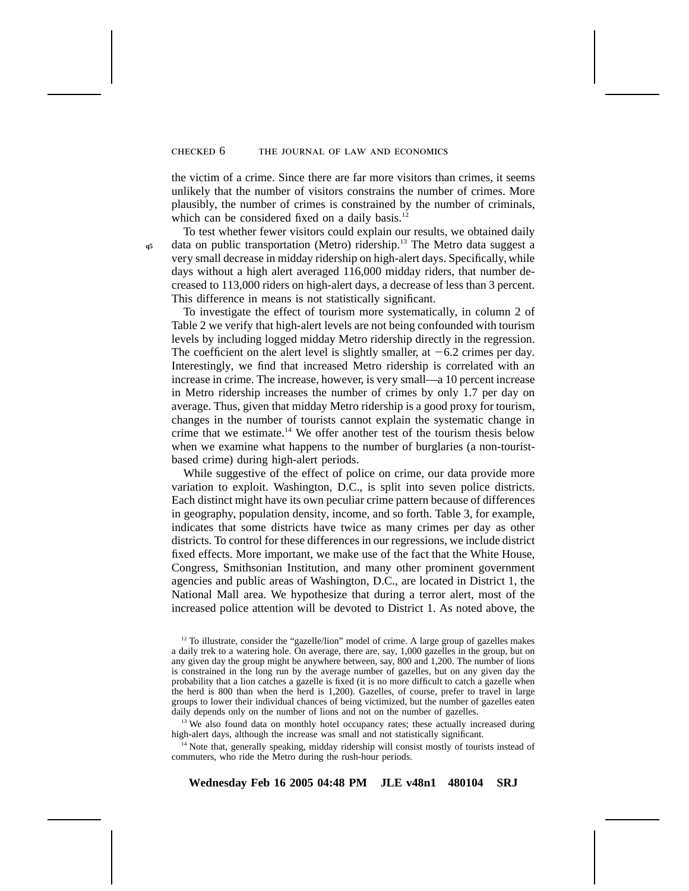#### checked 6 the journal of law and economics

the victim of a crime. Since there are far more visitors than crimes, it seems unlikely that the number of visitors constrains the number of crimes. More plausibly, the number of crimes is constrained by the number of criminals, which can be considered fixed on a daily basis.<sup>12</sup>

**q5**

To test whether fewer visitors could explain our results, we obtained daily data on public transportation (Metro) ridership.<sup>13</sup> The Metro data suggest a very small decrease in midday ridership on high-alert days. Specifically, while days without a high alert averaged 116,000 midday riders, that number decreased to 113,000 riders on high-alert days, a decrease of less than 3 percent. This difference in means is not statistically significant.

To investigate the effect of tourism more systematically, in column 2 of Table 2 we verify that high-alert levels are not being confounded with tourism levels by including logged midday Metro ridership directly in the regression. The coefficient on the alert level is slightly smaller, at  $-6.2$  crimes per day. Interestingly, we find that increased Metro ridership is correlated with an increase in crime. The increase, however, is very small—a 10 percent increase in Metro ridership increases the number of crimes by only 1.7 per day on average. Thus, given that midday Metro ridership is a good proxy for tourism, changes in the number of tourists cannot explain the systematic change in crime that we estimate.<sup>14</sup> We offer another test of the tourism thesis below when we examine what happens to the number of burglaries (a non-touristbased crime) during high-alert periods.

While suggestive of the effect of police on crime, our data provide more variation to exploit. Washington, D.C., is split into seven police districts. Each distinct might have its own peculiar crime pattern because of differences in geography, population density, income, and so forth. Table 3, for example, indicates that some districts have twice as many crimes per day as other districts. To control for these differences in our regressions, we include district fixed effects. More important, we make use of the fact that the White House, Congress, Smithsonian Institution, and many other prominent government agencies and public areas of Washington, D.C., are located in District 1, the National Mall area. We hypothesize that during a terror alert, most of the increased police attention will be devoted to District 1. As noted above, the

<sup>13</sup> We also found data on monthly hotel occupancy rates; these actually increased during high-alert days, although the increase was small and not statistically significant.

<sup>14</sup> Note that, generally speaking, midday ridership will consist mostly of tourists instead of commuters, who ride the Metro during the rush-hour periods.

 $12$  To illustrate, consider the "gazelle/lion" model of crime. A large group of gazelles makes a daily trek to a watering hole. On average, there are, say, 1,000 gazelles in the group, but on any given day the group might be anywhere between, say, 800 and 1,200. The number of lions is constrained in the long run by the average number of gazelles, but on any given day the probability that a lion catches a gazelle is fixed (it is no more difficult to catch a gazelle when the herd is 800 than when the herd is 1,200). Gazelles, of course, prefer to travel in large groups to lower their individual chances of being victimized, but the number of gazelles eaten daily depends only on the number of lions and not on the number of gazelles.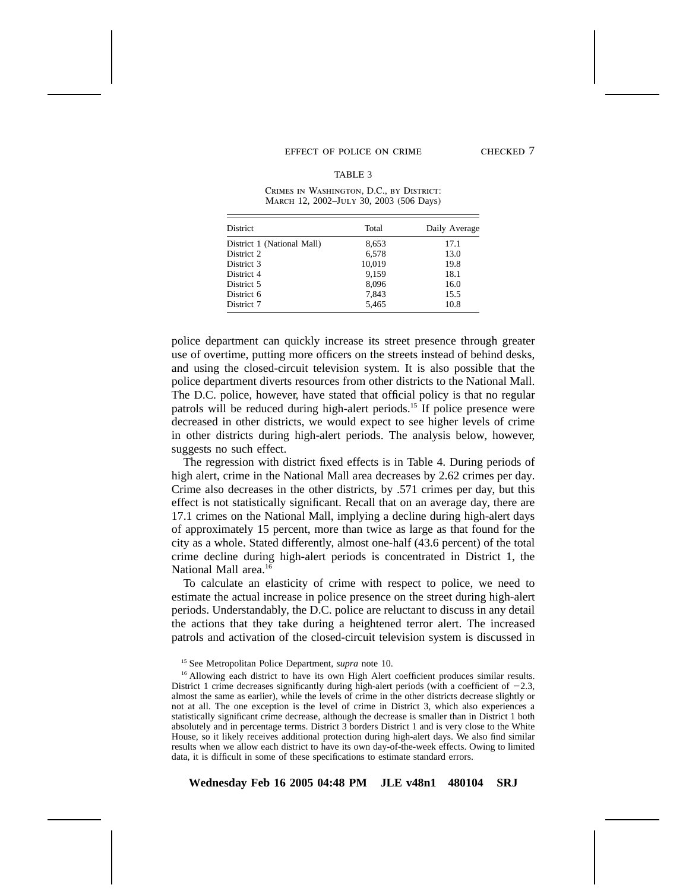#### EFFECT OF POLICE ON CRIME CHECKED 7

#### TABLE 3

Crimes in Washington, D.C., by District: March 12, 2002–July 30, 2003 (506 Days)

| <b>District</b>            | Total  | Daily Average |
|----------------------------|--------|---------------|
| District 1 (National Mall) | 8,653  | 17.1          |
| District 2                 | 6,578  | 13.0          |
| District 3                 | 10,019 | 19.8          |
| District 4                 | 9,159  | 18.1          |
| District 5                 | 8.096  | 16.0          |
| District 6                 | 7,843  | 15.5          |
| District 7                 | 5.465  | 10.8          |

police department can quickly increase its street presence through greater use of overtime, putting more officers on the streets instead of behind desks, and using the closed-circuit television system. It is also possible that the police department diverts resources from other districts to the National Mall. The D.C. police, however, have stated that official policy is that no regular patrols will be reduced during high-alert periods.<sup>15</sup> If police presence were decreased in other districts, we would expect to see higher levels of crime in other districts during high-alert periods. The analysis below, however, suggests no such effect.

The regression with district fixed effects is in Table 4. During periods of high alert, crime in the National Mall area decreases by 2.62 crimes per day. Crime also decreases in the other districts, by .571 crimes per day, but this effect is not statistically significant. Recall that on an average day, there are 17.1 crimes on the National Mall, implying a decline during high-alert days of approximately 15 percent, more than twice as large as that found for the city as a whole. Stated differently, almost one-half (43.6 percent) of the total crime decline during high-alert periods is concentrated in District 1, the National Mall area.<sup>16</sup>

To calculate an elasticity of crime with respect to police, we need to estimate the actual increase in police presence on the street during high-alert periods. Understandably, the D.C. police are reluctant to discuss in any detail the actions that they take during a heightened terror alert. The increased patrols and activation of the closed-circuit television system is discussed in

<sup>15</sup> See Metropolitan Police Department, *supra* note 10.

<sup>&</sup>lt;sup>16</sup> Allowing each district to have its own High Alert coefficient produces similar results. District 1 crime decreases significantly during high-alert periods (with a coefficient of  $-2.3$ , almost the same as earlier), while the levels of crime in the other districts decrease slightly or not at all. The one exception is the level of crime in District 3, which also experiences a statistically significant crime decrease, although the decrease is smaller than in District 1 both absolutely and in percentage terms. District 3 borders District 1 and is very close to the White House, so it likely receives additional protection during high-alert days. We also find similar results when we allow each district to have its own day-of-the-week effects. Owing to limited data, it is difficult in some of these specifications to estimate standard errors.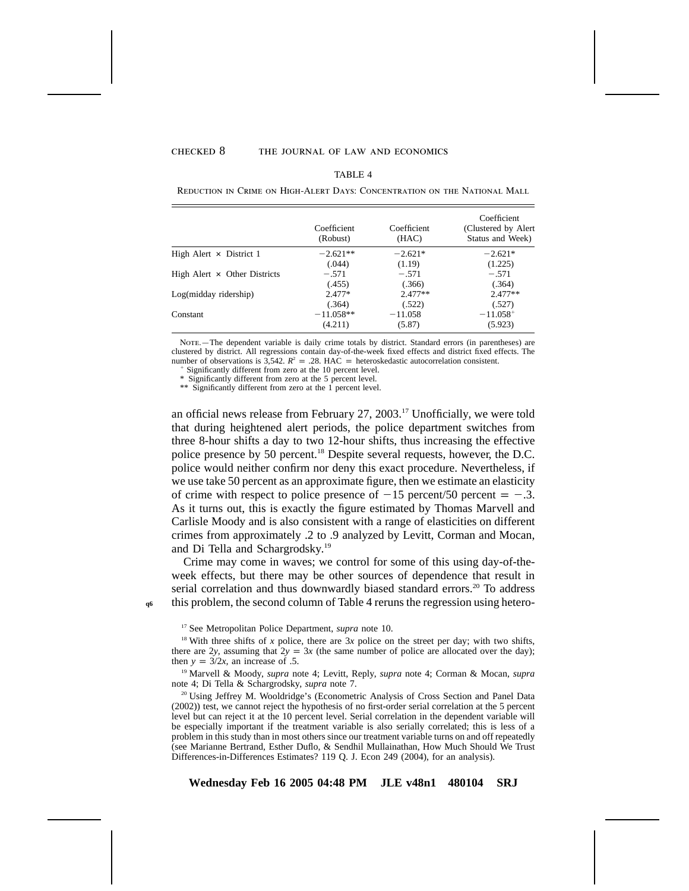**q6**

#### checked 8 the journal of law and economics

#### TABLE 4

Reduction in Crime on High-Alert Days: Concentration on the National Mall

|                                     | Coefficient<br>(Robust) | Coefficient<br>(HAC) | Coefficient<br>(Clustered by Alert<br>Status and Week) |
|-------------------------------------|-------------------------|----------------------|--------------------------------------------------------|
| High Alert $\times$ District 1      | $-2.621**$              | $-2.621*$            | $-2.621*$                                              |
|                                     | (.044)                  | (1.19)               | (1.225)                                                |
| High Alert $\times$ Other Districts | $-.571$                 | $-.571$              | $-.571$                                                |
|                                     | (.455)                  | (.366)               | (.364)                                                 |
| $Log(midday\ ridership)$            | $2.477*$                | $2.477**$            | $2.477**$                                              |
|                                     | (.364)                  | (.522)               | (.527)                                                 |
| Constant                            | $-11.058**$             | $-11.058$            | $-11.058^{+}$                                          |
|                                     | (4.211)                 | (5.87)               | (5.923)                                                |

Nore.—The dependent variable is daily crime totals by district. Standard errors (in parentheses) are clustered by district. All regressions contain day-of-the-week fixed effects and district fixed effects. The number of observations is  $3,542$ .  $R^2 = .28$ . HAC = heteroskedastic autocorrelation consistent.

Significantly different from zero at the 10 percent level.

\* Significantly different from zero at the 5 percent level.

\*\* Significantly different from zero at the 1 percent level.

an official news release from February  $27$ ,  $2003$ .<sup>17</sup> Unofficially, we were told that during heightened alert periods, the police department switches from three 8-hour shifts a day to two 12-hour shifts, thus increasing the effective police presence by 50 percent.18 Despite several requests, however, the D.C. police would neither confirm nor deny this exact procedure. Nevertheless, if we use take 50 percent as an approximate figure, then we estimate an elasticity of crime with respect to police presence of  $-15$  percent/50 percent  $= -.3$ . As it turns out, this is exactly the figure estimated by Thomas Marvell and Carlisle Moody and is also consistent with a range of elasticities on different crimes from approximately .2 to .9 analyzed by Levitt, Corman and Mocan, and Di Tella and Schargrodsky.19

Crime may come in waves; we control for some of this using day-of-theweek effects, but there may be other sources of dependence that result in serial correlation and thus downwardly biased standard errors.<sup>20</sup> To address this problem, the second column of Table 4 reruns the regression using hetero-

<sup>17</sup> See Metropolitan Police Department, *supra* note 10.

<sup>18</sup> With three shifts of  $x$  police, there are  $3x$  police on the street per day; with two shifts, there are 2*y*, assuming that  $2y = 3x$  (the same number of police are allocated over the day); then  $y = 3/2x$ , an increase of .5.

<sup>19</sup> Marvell & Moody, *supra* note 4; Levitt, Reply, *supra* note 4; Corman & Mocan, *supra* note 4; Di Tella & Schargrodsky, *supra* note 7.

<sup>20</sup> Using Jeffrey M. Wooldridge's (Econometric Analysis of Cross Section and Panel Data (2002)) test, we cannot reject the hypothesis of no first-order serial correlation at the 5 percent level but can reject it at the 10 percent level. Serial correlation in the dependent variable will be especially important if the treatment variable is also serially correlated; this is less of a problem in this study than in most others since our treatment variable turns on and off repeatedly (see Marianne Bertrand, Esther Duflo, & Sendhil Mullainathan, How Much Should We Trust Differences-in-Differences Estimates? 119 Q. J. Econ 249 (2004), for an analysis).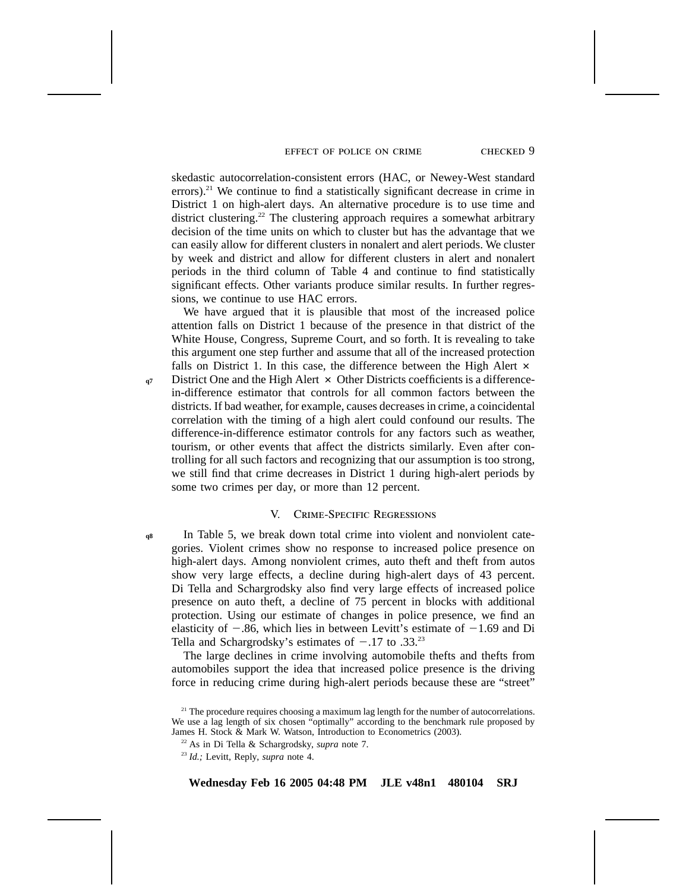#### effect of police on crime checked 9

skedastic autocorrelation-consistent errors (HAC, or Newey-West standard errors).<sup>21</sup> We continue to find a statistically significant decrease in crime in District 1 on high-alert days. An alternative procedure is to use time and district clustering.<sup>22</sup> The clustering approach requires a somewhat arbitrary decision of the time units on which to cluster but has the advantage that we can easily allow for different clusters in nonalert and alert periods. We cluster by week and district and allow for different clusters in alert and nonalert periods in the third column of Table 4 and continue to find statistically significant effects. Other variants produce similar results. In further regressions, we continue to use HAC errors.

We have argued that it is plausible that most of the increased police attention falls on District 1 because of the presence in that district of the White House, Congress, Supreme Court, and so forth. It is revealing to take this argument one step further and assume that all of the increased protection falls on District 1. In this case, the difference between the High Alert  $\times$ 

District One and the High Alert  $\times$  Other Districts coefficients is a differencein-difference estimator that controls for all common factors between the districts. If bad weather, for example, causes decreases in crime, a coincidental correlation with the timing of a high alert could confound our results. The difference-in-difference estimator controls for any factors such as weather, tourism, or other events that affect the districts similarly. Even after controlling for all such factors and recognizing that our assumption is too strong, we still find that crime decreases in District 1 during high-alert periods by some two crimes per day, or more than 12 percent.

## V. Crime-Specific Regressions

In Table 5, we break down total crime into violent and nonviolent categories. Violent crimes show no response to increased police presence on high-alert days. Among nonviolent crimes, auto theft and theft from autos show very large effects, a decline during high-alert days of 43 percent. Di Tella and Schargrodsky also find very large effects of increased police presence on auto theft, a decline of 75 percent in blocks with additional protection. Using our estimate of changes in police presence, we find an elasticity of  $-.86$ , which lies in between Levitt's estimate of  $-1.69$  and Di Tella and Schargrodsky's estimates of  $-.17$  to  $.33.^{23}$ **q8**

The large declines in crime involving automobile thefts and thefts from automobiles support the idea that increased police presence is the driving force in reducing crime during high-alert periods because these are "street"

**q7**

 $21$  The procedure requires choosing a maximum lag length for the number of autocorrelations. We use a lag length of six chosen "optimally" according to the benchmark rule proposed by James H. Stock & Mark W. Watson, Introduction to Econometrics (2003).

<sup>22</sup> As in Di Tella & Schargrodsky, *supra* note 7.

<sup>23</sup> *Id.;* Levitt, Reply, *supra* note 4.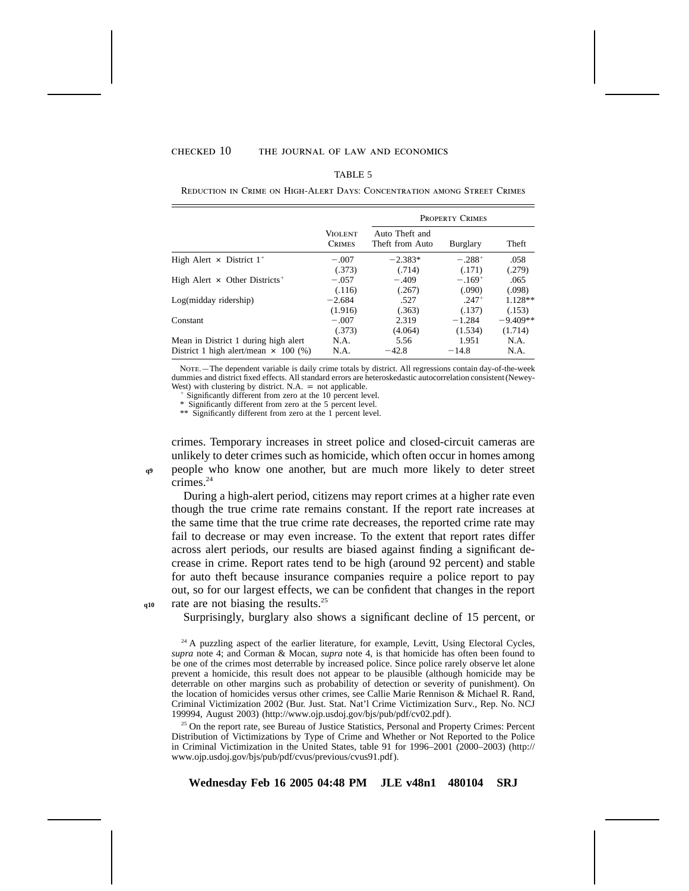## $CHECKED$  10 THE JOURNAL OF LAW AND ECONOMICS

#### TABLE 5

Reduction in Crime on High-Alert Days: Concentration among Street Crimes

|                                                  |                                 | <b>PROPERTY CRIMES</b>            |             |            |  |  |
|--------------------------------------------------|---------------------------------|-----------------------------------|-------------|------------|--|--|
|                                                  | <b>VIOLENT</b><br><b>CRIMES</b> | Auto Theft and<br>Theft from Auto | Burglary    | Theft      |  |  |
| High Alert $\times$ District 1 <sup>+</sup>      | $-.007$                         | $-2.383*$                         | $-.288^{+}$ | .058       |  |  |
|                                                  | (.373)                          | (.714)                            | (.171)      | (.279)     |  |  |
| High Alert $\times$ Other Districts <sup>+</sup> | $-.057$                         | $-.409$                           | $-.169+$    | .065       |  |  |
|                                                  | (.116)                          | (.267)                            | (.090)      | (.098)     |  |  |
| Log(midday ridership)                            | $-2.684$                        | .527                              | $.247+$     | $1.128**$  |  |  |
|                                                  | (1.916)                         | (.363)                            | (.137)      | (.153)     |  |  |
| Constant                                         | $-.007$                         | 2.319                             | $-1.284$    | $-9.409**$ |  |  |
|                                                  | (.373)                          | (4.064)                           | (1.534)     | (1.714)    |  |  |
| Mean in District 1 during high alert             | N.A.                            | 5.56                              | 1.951       | N.A.       |  |  |
| District 1 high alert/mean $\times$ 100 (%)      | N.A.                            | $-42.8$                           | $-14.8$     | N.A.       |  |  |

Nore.—The dependent variable is daily crime totals by district. All regressions contain day-of-the-week dummies and district fixed effects. All standard errors are heteroskedastic autocorrelation consistent (Newey-West) with clustering by district. N.A.  $=$  not applicable.

Significantly different from zero at the 10 percent level.

\* Significantly different from zero at the 5 percent level.

\*\* Significantly different from zero at the 1 percent level.

crimes. Temporary increases in street police and closed-circuit cameras are unlikely to deter crimes such as homicide, which often occur in homes among people who know one another, but are much more likely to deter street  $c$ rimes.<sup>24</sup>

During a high-alert period, citizens may report crimes at a higher rate even though the true crime rate remains constant. If the report rate increases at the same time that the true crime rate decreases, the reported crime rate may fail to decrease or may even increase. To the extent that report rates differ across alert periods, our results are biased against finding a significant decrease in crime. Report rates tend to be high (around 92 percent) and stable for auto theft because insurance companies require a police report to pay out, so for our largest effects, we can be confident that changes in the report rate are not biasing the results.<sup>25</sup>

Surprisingly, burglary also shows a significant decline of 15 percent, or

<sup>25</sup> On the report rate, see Bureau of Justice Statistics, Personal and Property Crimes: Percent Distribution of Victimizations by Type of Crime and Whether or Not Reported to the Police in Criminal Victimization in the United States, table 91 for 1996–2001 (2000–2003) (http:// www.ojp.usdoj.gov/bjs/pub/pdf/cvus/previous/cvus91.pdf).

**Wednesday Feb 16 2005 04:48 PM JLE v48n1 480104 SRJ**

**q10**

**q9**

<sup>&</sup>lt;sup>24</sup> A puzzling aspect of the earlier literature, for example, Levitt, Using Electoral Cycles, *supra* note 4; and Corman & Mocan, *supra* note 4, is that homicide has often been found to be one of the crimes most deterrable by increased police. Since police rarely observe let alone prevent a homicide, this result does not appear to be plausible (although homicide may be deterrable on other margins such as probability of detection or severity of punishment). On the location of homicides versus other crimes, see Callie Marie Rennison & Michael R. Rand, Criminal Victimization 2002 (Bur. Just. Stat. Nat'l Crime Victimization Surv., Rep. No. NCJ 199994, August 2003) (http://www.ojp.usdoj.gov/bjs/pub/pdf/cv02.pdf).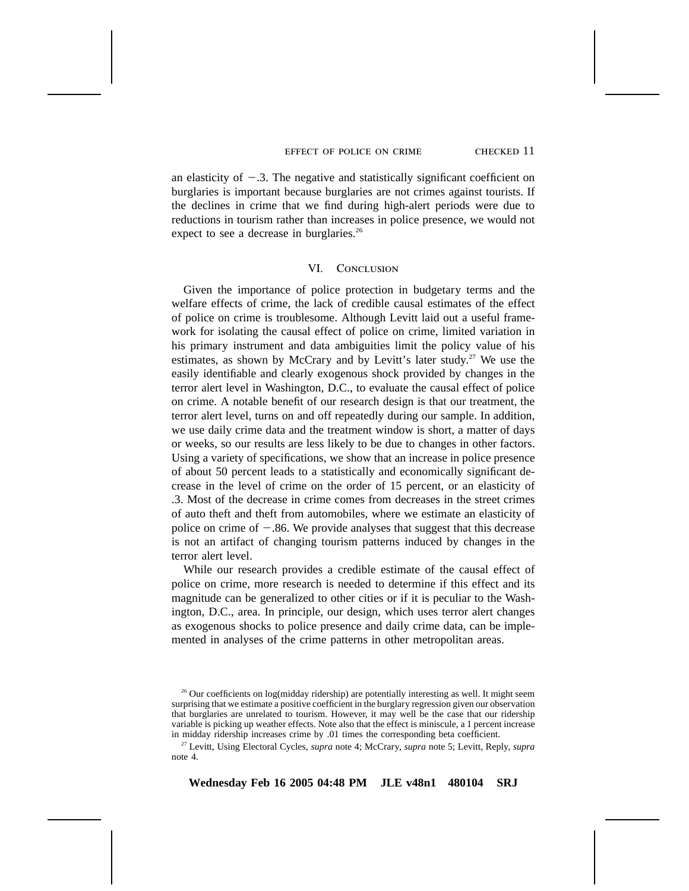#### effect of police on crime checked 11

an elasticity of  $-.3$ . The negative and statistically significant coefficient on burglaries is important because burglaries are not crimes against tourists. If the declines in crime that we find during high-alert periods were due to reductions in tourism rather than increases in police presence, we would not expect to see a decrease in burglaries.<sup>26</sup>

## VI. CONCLUSION

Given the importance of police protection in budgetary terms and the welfare effects of crime, the lack of credible causal estimates of the effect of police on crime is troublesome. Although Levitt laid out a useful framework for isolating the causal effect of police on crime, limited variation in his primary instrument and data ambiguities limit the policy value of his estimates, as shown by McCrary and by Levitt's later study.<sup>27</sup> We use the easily identifiable and clearly exogenous shock provided by changes in the terror alert level in Washington, D.C., to evaluate the causal effect of police on crime. A notable benefit of our research design is that our treatment, the terror alert level, turns on and off repeatedly during our sample. In addition, we use daily crime data and the treatment window is short, a matter of days or weeks, so our results are less likely to be due to changes in other factors. Using a variety of specifications, we show that an increase in police presence of about 50 percent leads to a statistically and economically significant decrease in the level of crime on the order of 15 percent, or an elasticity of .3. Most of the decrease in crime comes from decreases in the street crimes of auto theft and theft from automobiles, where we estimate an elasticity of police on crime of  $-.86$ . We provide analyses that suggest that this decrease is not an artifact of changing tourism patterns induced by changes in the terror alert level.

While our research provides a credible estimate of the causal effect of police on crime, more research is needed to determine if this effect and its magnitude can be generalized to other cities or if it is peculiar to the Washington, D.C., area. In principle, our design, which uses terror alert changes as exogenous shocks to police presence and daily crime data, can be implemented in analyses of the crime patterns in other metropolitan areas.

<sup>27</sup> Levitt, Using Electoral Cycles, *supra* note 4; McCrary, *supra* note 5; Levitt, Reply, *supra* note 4.

<sup>&</sup>lt;sup>26</sup> Our coefficients on log(midday ridership) are potentially interesting as well. It might seem surprising that we estimate a positive coefficient in the burglary regression given our observation that burglaries are unrelated to tourism. However, it may well be the case that our ridership variable is picking up weather effects. Note also that the effect is miniscule, a 1 percent increase in midday ridership increases crime by .01 times the corresponding beta coefficient.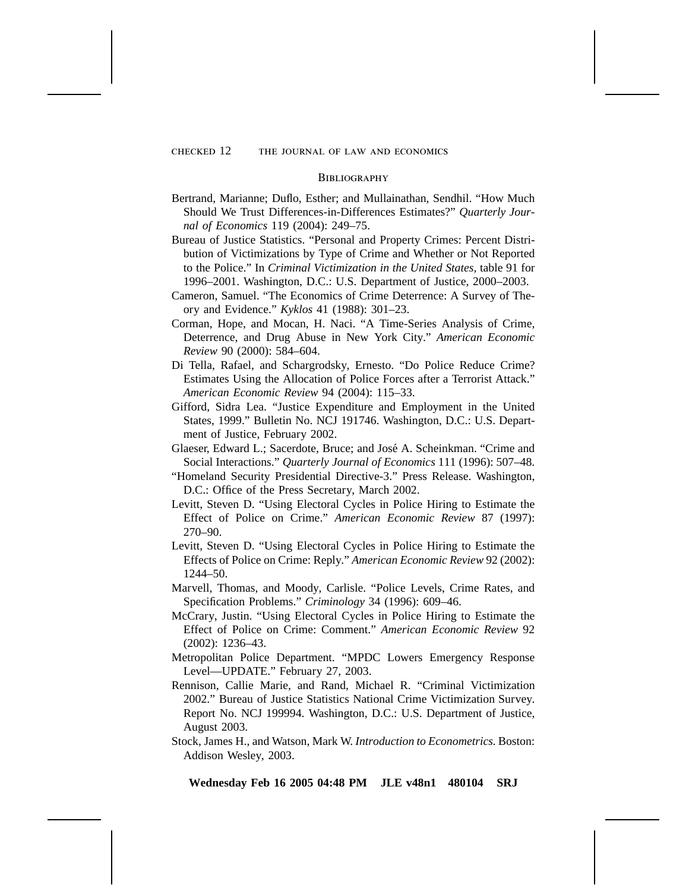#### **BIBLIOGRAPHY**

- Bertrand, Marianne; Duflo, Esther; and Mullainathan, Sendhil. "How Much Should We Trust Differences-in-Differences Estimates?" *Quarterly Journal of Economics* 119 (2004): 249–75.
- Bureau of Justice Statistics. "Personal and Property Crimes: Percent Distribution of Victimizations by Type of Crime and Whether or Not Reported to the Police." In *Criminal Victimization in the United States,* table 91 for 1996–2001. Washington, D.C.: U.S. Department of Justice, 2000–2003.
- Cameron, Samuel. "The Economics of Crime Deterrence: A Survey of Theory and Evidence." *Kyklos* 41 (1988): 301–23.
- Corman, Hope, and Mocan, H. Naci. "A Time-Series Analysis of Crime, Deterrence, and Drug Abuse in New York City." *American Economic Review* 90 (2000): 584–604.
- Di Tella, Rafael, and Schargrodsky, Ernesto. "Do Police Reduce Crime? Estimates Using the Allocation of Police Forces after a Terrorist Attack." *American Economic Review* 94 (2004): 115–33.
- Gifford, Sidra Lea. "Justice Expenditure and Employment in the United States, 1999." Bulletin No. NCJ 191746. Washington, D.C.: U.S. Department of Justice, February 2002.
- Glaeser, Edward L.; Sacerdote, Bruce; and José A. Scheinkman. "Crime and Social Interactions." *Quarterly Journal of Economics* 111 (1996): 507–48.
- "Homeland Security Presidential Directive-3." Press Release. Washington, D.C.: Office of the Press Secretary, March 2002.
- Levitt, Steven D. "Using Electoral Cycles in Police Hiring to Estimate the Effect of Police on Crime." *American Economic Review* 87 (1997): 270–90.
- Levitt, Steven D. "Using Electoral Cycles in Police Hiring to Estimate the Effects of Police on Crime: Reply." *American Economic Review* 92 (2002): 1244–50.
- Marvell, Thomas, and Moody, Carlisle. "Police Levels, Crime Rates, and Specification Problems." *Criminology* 34 (1996): 609–46.
- McCrary, Justin. "Using Electoral Cycles in Police Hiring to Estimate the Effect of Police on Crime: Comment." *American Economic Review* 92 (2002): 1236–43.
- Metropolitan Police Department. "MPDC Lowers Emergency Response Level—UPDATE." February 27, 2003.
- Rennison, Callie Marie, and Rand, Michael R. "Criminal Victimization 2002." Bureau of Justice Statistics National Crime Victimization Survey. Report No. NCJ 199994. Washington, D.C.: U.S. Department of Justice, August 2003.
- Stock, James H., and Watson, Mark W. *Introduction to Econometrics.* Boston: Addison Wesley, 2003.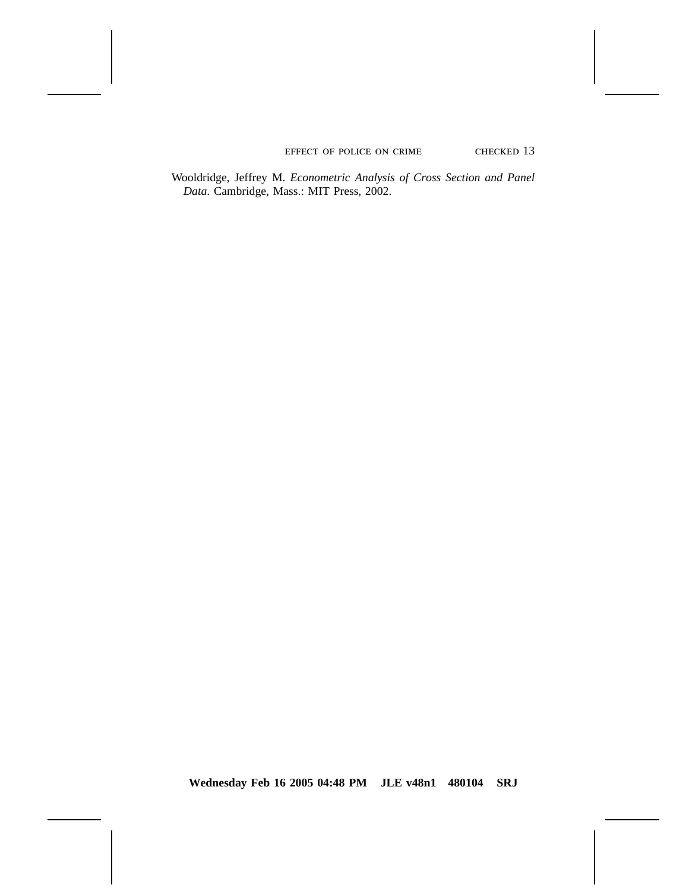EFFECT OF POLICE ON CRIME CHECKED 13

Wooldridge, Jeffrey M. *Econometric Analysis of Cross Section and Panel Data*. Cambridge, Mass.: MIT Press, 2002.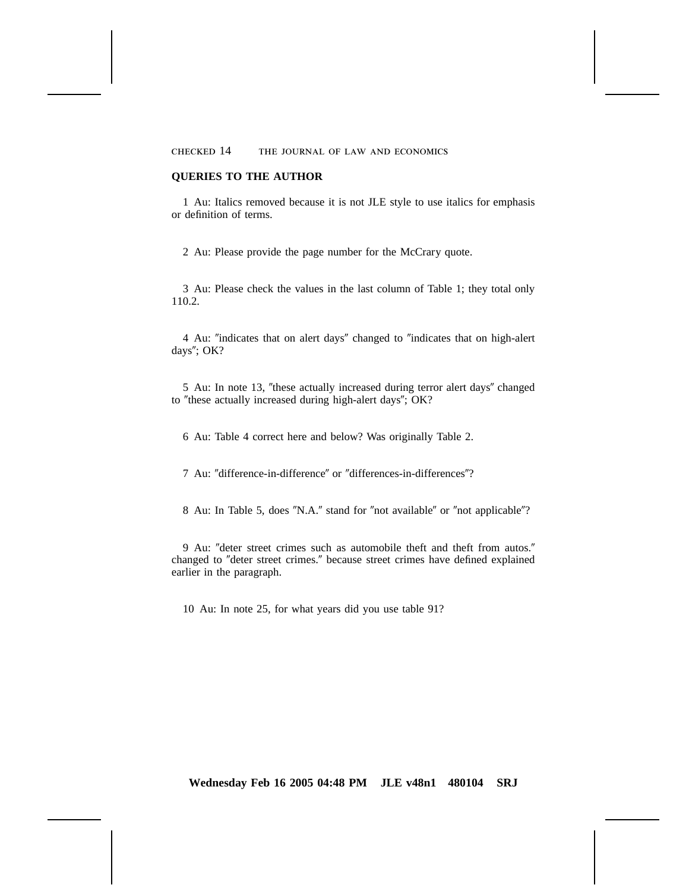checked 14 the journal of law and economics

## **QUERIES TO THE AUTHOR**

1 Au: Italics removed because it is not JLE style to use italics for emphasis or definition of terms.

2 Au: Please provide the page number for the McCrary quote.

3 Au: Please check the values in the last column of Table 1; they total only 110.2.

4 Au: "indicates that on alert days" changed to "indicates that on high-alert days"; OK?

5 Au: In note 13, "these actually increased during terror alert days" changed to "these actually increased during high-alert days"; OK?

6 Au: Table 4 correct here and below? Was originally Table 2.

7 Au: "difference-in-difference" or "differences-in-differences"?

8 Au: In Table 5, does "N.A." stand for "not available" or "not applicable"?

9 Au: "deter street crimes such as automobile theft and theft from autos." changed to "deter street crimes." because street crimes have defined explained earlier in the paragraph.

10 Au: In note 25, for what years did you use table 91?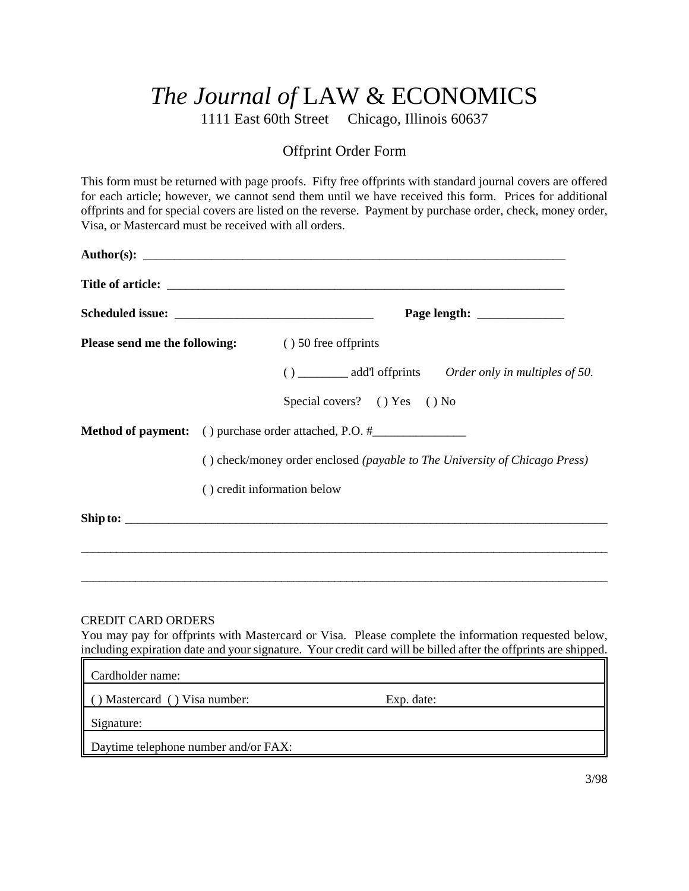# *The Journal of* LAW & ECONOMICS

1111 East 60th Street Chicago, Illinois 60637

# Offprint Order Form

This form must be returned with page proofs. Fifty free offprints with standard journal covers are offered for each article; however, we cannot send them until we have received this form. Prices for additional offprints and for special covers are listed on the reverse. Payment by purchase order, check, money order, Visa, or Mastercard must be received with all orders.

| <b>Please send me the following:</b> (being 1) 50 free off prints |  |                                                                                         |  |  |  |  |
|-------------------------------------------------------------------|--|-----------------------------------------------------------------------------------------|--|--|--|--|
|                                                                   |  | () __________ add'l offprints Order only in multiples of 50.                            |  |  |  |  |
|                                                                   |  | Special covers? () Yes () No                                                            |  |  |  |  |
|                                                                   |  | <b>Method of payment:</b> () purchase order attached, P.O. #___________________________ |  |  |  |  |
|                                                                   |  | () check/money order enclosed (payable to The University of Chicago Press)              |  |  |  |  |
|                                                                   |  | () credit information below                                                             |  |  |  |  |
|                                                                   |  |                                                                                         |  |  |  |  |

# CREDIT CARD ORDERS

You may pay for offprints with Mastercard or Visa. Please complete the information requested below, including expiration date and your signature. Your credit card will be billed after the offprints are shipped.

\_\_\_\_\_\_\_\_\_\_\_\_\_\_\_\_\_\_\_\_\_\_\_\_\_\_\_\_\_\_\_\_\_\_\_\_\_\_\_\_\_\_\_\_\_\_\_\_\_\_\_\_\_\_\_\_\_\_\_\_\_\_\_\_\_\_\_\_\_\_\_\_\_\_\_\_\_\_\_\_\_\_\_\_\_\_\_

| Cardholder name:                     |            |  |
|--------------------------------------|------------|--|
| Mastercard () Visa number:           | Exp. date: |  |
| Signature:                           |            |  |
| Daytime telephone number and/or FAX: |            |  |